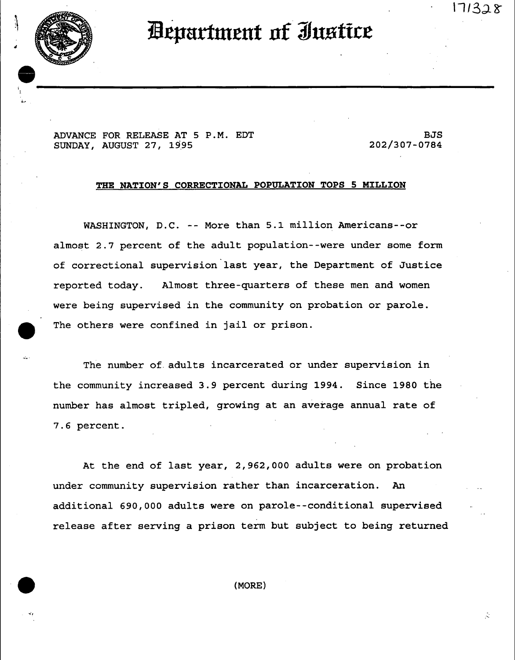11328



*Aepartment of Justice* 

ADVANCE FOR RELEASE AT 5 P.M. EDT SUNDAY, AUGUST 27, 1995

BJS 202/307-0784

### **THE NATION'S CORRECTIONAL POPULATION TOPS 5 MILLION**

WASHINGTON, D.C. -- More than 5.1 million Americans--or almost 2.7 percent of the adult population--were under some form of correctional supervision last year, the Department of Justice reported today. Almost three-quarters of these men and women were being supervised in the community on probation or parole. The others were confined in jail or prison.

The number of adults incarcerated or under supervision in the community increased 3.9 percent during 1994. Since 1980 the number has almost tripled, growing at an average annual rate of 7.6 percent.

At the end of last year, 2,962,000 adults were on probation under community supervision rather than incarceration. An additional 690,000 adults were on parole--conditional supervised release after serving a prison term but subject to being returned

**( MORE )**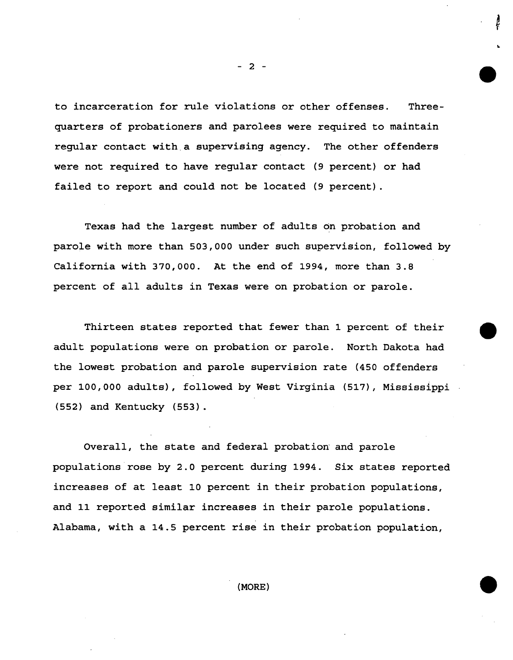to incarceration for rule violations or other offenses. Threequarters of probationers and parolees were required to maintain regular contact with a supervising agency. The other offenders were not required to have regular contact (9 percent) or had failed to report and could not be located (9 percent).

Texas had the largest number of adults on probation and parole with more than 503,000 under such supervision, followed by California with 370,000. At the end of 1994, more than 3.8 percent of all adults in Texas were on probation or parole.

Thirteen states reported that fewer than 1 percent of their adult populations were on probation or parole. North Dakota had the lowest probation and parole supervision rate (450 offenders per i00,000 adults), followed by West Virginia (517), Mississippi (552) and Kentucky (553).

Overall, the state and federal probation and parole populations rose by 2.0 percent during 1994. Six states reported increases of at least I0 percent in their probation populations, and 11 reported similar increases in their parole populations. Alabama, with a 14.5 percent rise in their probation population,

**- 2 -** 

**(MORE)**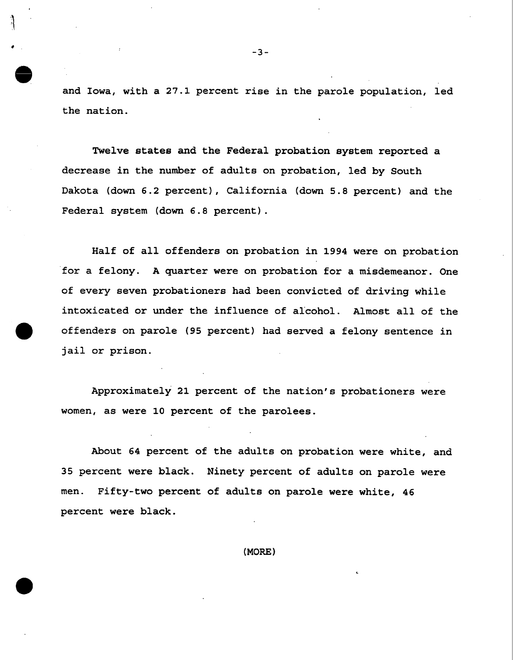and Iowa, with a 27.1 percent rise in the parole population, led the nation.

Twelve states and the Federal probation system reported a decrease in the number of adults on probation, led by South Dakota (down 6.2 percent), California (down 5.8 percent) and the Federal system (down 6.8 percent).

Half of all offenders on probation in 1994 were on probation for a felony. A quarter were on probation for a misdemeanor. One of every seven probationers had been convicted of driving while intoxicated or under the influence of alcohol. Almost all of the offenders on parole (95 percent) had served a felony sentence in jail or prison.

Approximately 21 percent of the nation's probationers were women, as were I0 percent of the parolees.

About 64 percent of the adults on probation were white, and 35 percent were black. Ninety percent of adults on parole were men. Fifty-two percent of adults on parole were white, 46 percent were black.

**(MORE)**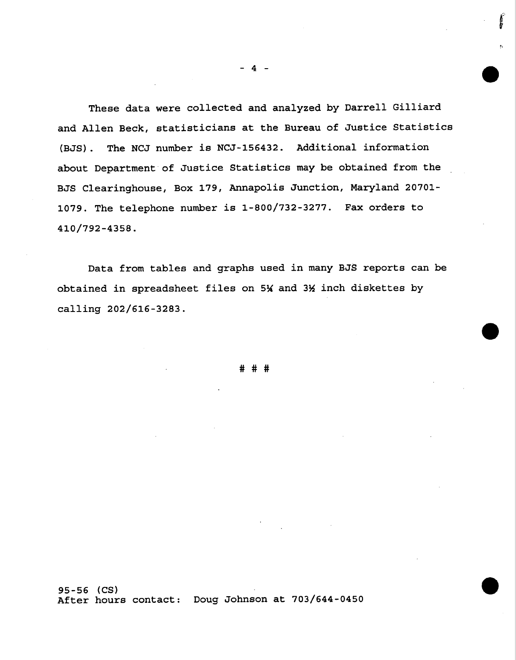These data were collected and analyzed by Darrell Gilliard and Allen Beck, statisticians at the Bureau of Justice Statistics (BJS). The NCJ number is NCJ-156432. Additional information about Department of Justice Statistics may be obtained from the BJS Clearinghouse, Box 179, Annapolis Junction, Maryland 20701- 1079. The telephone number is 1-800/732-3277. Fax orders to 410/792-4358.

Data from tables and graphs used in many BJS reports can be obtained in spreadsheet files on  $5\frac{1}{4}$  and  $3\frac{1}{2}$  inch diskettes by calling 202/616-3283.

###

95-56 **(CS)**  After hours contact: Doug Johnson at 703/644-0450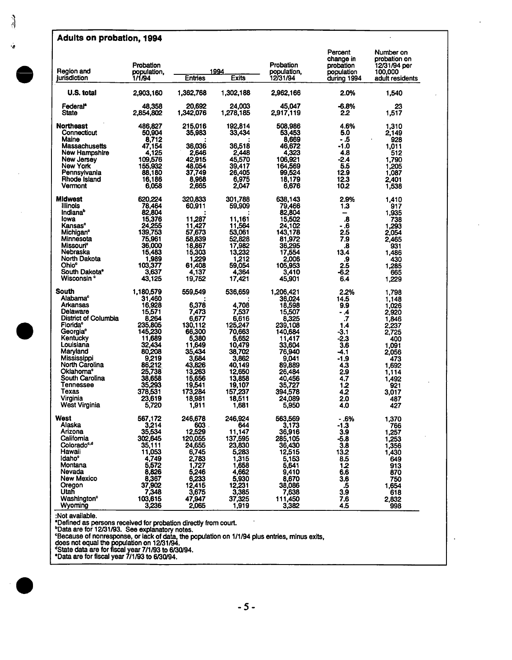## **Adults on probation, 1994**

|                                  | Probation             |                     |                     | Probation               | Percent<br>change in<br>probation | Number on<br>probation on<br>12/31/94 per |
|----------------------------------|-----------------------|---------------------|---------------------|-------------------------|-----------------------------------|-------------------------------------------|
| Region and<br>jurisdiction       | population,<br>1/1/94 | <b>Entries</b>      | 1994<br>Exits       | population,<br>12/31/94 | population<br>during 1994         | 100,000<br>adult residents                |
| U.S. total                       | 2,903,160             | 1,362,768           | 1,302,188           | 2,962,166               | 2.0%                              | 1,540                                     |
| Federal*<br>State                | 48.358<br>2,854,802   | 20.692<br>1,342,076 | 24.003<br>1,278,185 | 45,047<br>2,917,119     | -6.8%<br>2.2                      | 23<br>1,517                               |
| <b>Northeast</b>                 | 486.827               | 215,016             | 192.814             | 508.986                 | 4.6%                              | 1,310                                     |
| Connecticut<br>Maine             | 50.904<br>8.712       | 35,983              | 33,434              | 53.453<br>8.669         | 5.0<br>- .5                       | 2,149<br>928                              |
| Massachusetts                    | 47.154                | 36.036              | 36,518              | 46.672                  | -1.0                              | 1,011                                     |
| New Hampshire                    | 4,125                 | 2,646               | 2.448               | 4,323                   | 4.8                               | 512                                       |
| New Jersey                       | 109,576               | 42,915              | 45,570              | 106,921                 | -2.4                              | 1,790                                     |
| New York<br>Pennsylvania         | 155,932<br>88,180     | 48,054<br>37,749    | 39,417<br>26,405    | 164,569<br>99,524       | 5.5<br>12.9                       | 1,205<br>1.087                            |
| Rhode Island                     | 16,186                | 8,968               | 6,975               | 18,179                  | 12.3                              | 2,401                                     |
| Vermont                          | 6,058                 | 2,665               | 2,047               | 6,676                   | 10.2                              | 1,538                                     |
| <b>Midwest</b>                   | 620,224               | 320.833             | 301,788             | 638,143                 | 2.9%                              | 1,410                                     |
| Illinois                         | 78.464                | 60,911              | 59,909              | 79,466                  | 1.3                               | 917                                       |
| Indiana <sup>b</sup>             | 82,804                |                     |                     | 82,804                  | -                                 | 1.935                                     |
| lowa<br>Kansas°                  | 15,376<br>24,255      | 11.287<br>11,427    | 11,161<br>11,564    | 15,502<br>24.102        | $\overline{\bf 8}$<br>- .6        | 738<br>1,293                              |
| Michigan <sup>e</sup>            | 139,753               | 57,673              | 53,061              | 143,178                 | 2.5                               | 2.054                                     |
| Minnesota                        | 75.961                | 58,839              | 52.828              | 81,972                  | 7.9                               | 2,465                                     |
| Missouri <sup>o</sup>            | 36,000                | 18,867              | 17,982              | 36,295                  | 8.                                | 931                                       |
| Nebraska<br>North Dakota         | 15,483<br>1,989       | 15,303<br>1,229     | 13,232<br>1,212     | 17,554<br>2,006         | 13.4<br>.9                        | 1,486<br>430                              |
| Ohioº                            | 103,377               | 61.408              | 59.054              | 105.953                 | 2.5                               | 1,285                                     |
| South Dakota°                    | 3.637                 | 4,137               | 4,364               | 3,410                   | -6.2                              | 665                                       |
| Wisconsin °                      | 43,125                | 19,752              | 17.421              | 45,901                  | 6.4                               | 1,229                                     |
| <b>South</b>                     | 1,180,579             | 559.549             | 536,659             | 1.206,421               | 2.2%                              | 1,798                                     |
| Alabama <sup>e</sup><br>Arkansas | 31,460                | 6,378               |                     | 36,024                  | 14.5                              | 1.148                                     |
| Delaware                         | 16,928<br>15,571      | 7.473               | 4.708<br>7.537      | 18,598<br>15.507        | 9.9<br>- .4                       | 1.026<br>2,920                            |
| District of Columbia             | 8,264                 | 6,677               | 6,616               | 8,325                   | $\cdot$                           | 1,846                                     |
| Florida <sup>e</sup>             | 235,805               | 130,112             | 125,247             | 239,108                 | 1.4                               | 2,237                                     |
| Georgia <sup>e</sup>             | 145,230               | 66,300              | 70.663              | 140,684                 | -3.1                              | 2,725                                     |
| Kentucky<br>Louisiana            | 11,689<br>32,434      | 5.380<br>11,649     | 5.652<br>10,479     | 11,417<br>33,604        | -2.3<br>3.6                       | 400<br>1,091                              |
| Maryland                         | 80,208                | 35,434              | 38,702              | 76,940                  | -4.1                              | 2.056                                     |
| <b>Mississippi</b>               | 9,219                 | 3.684               | 3.862               | 9.041                   | -1.9                              | 473                                       |
| North Carolina                   | 86,212                | 43,826              | 40.149              | 89,889                  | 4.3                               | 1.692                                     |
| Oklahoma°<br>South Carolina      | 25,738<br>38.658      | 13,263<br>15,656    | 12,650<br>13,858    | 26,484<br>40.456        | 2.9<br>4.7                        | 1.114<br>1,492                            |
| Tennessee                        | 35,293                | 19,541              | 19,107              | 35,727                  | 1.2                               | 921                                       |
| Texas                            | 378,531               | 173,284             | 157,237             | 394,578                 | 4.2                               | 3.017                                     |
| Virginia                         | 23.619                | 18.981              | 18.511              | 24.089                  | 2.0                               | 487                                       |
| West Virginia                    | 5,720                 | 1,911               | 1,681               | 5,950                   | 4.0                               | 427                                       |
| West                             | 567.172               | 246.678             | 246.924             | 563.569                 | - 6%                              | 1.370                                     |
| Alaska<br>Arizona                | 3,214                 | 603                 | 644                 | 3,173                   | $-1.3$                            | 766                                       |
| California                       | 35,534<br>302,645     | 12,529<br>120,055   | 11,147<br>137,595   | 36,916<br>285,105       | 3.9<br>$-5.8$                     | 1,257<br>1,253                            |
| Colorado <sup>c,d</sup>          | 35,111                | 24,655              | 23,830              | 36,430                  | 3.8                               | 1,356                                     |
| Hawaii                           | 11.053                | 6,745               | 5,283               | 12,515                  | 13.2                              | 1,430                                     |
| Idaho <sup>°</sup>               | 4,749                 | 2,783               | 1,315               | 5,153                   | 8.5                               | 649                                       |
| Montana<br>Nevada                | 5,572<br>8,826        | 1,727<br>5,246      | 1,658<br>4,662      | 5,641<br>9,410          | 1.2<br>6.6                        | 913<br>870                                |
| New Mexico                       | 8,367                 | 6,233               | 5,930               | 8,670                   | 3.6                               | 750                                       |
| Oregon                           | 37,902                | 12,415              | 12,231              | 38,086                  | $\cdot 5$                         | 1,654                                     |
| Utah                             | 7,348                 | 3,675               | 3,385               | 7,638                   | 3.9                               | 618                                       |
| Washington <sup>e</sup>          | 103,615               | 47.947              | 37,325              | 111.450                 | 7.6                               | 2,832                                     |
| Wyoming                          | 3,236                 | 2,065               | 1,919               | 3,382                   | 4.5                               | 998                                       |

 $\ddot{\phantom{0}}$ 

**:Not** available.

• Defined as persons received for probation directly from court. bData are for 12/31/93. See explanatory notes.

°Because of nonresponse, or lack of data, the population on 1/1/94 plus entries, minus exits,<br>does not equal the population on 12/31/94.

~State data are for fiscalyear 7/1/93 to 6/30/94.

"Data are for fiscal year 7/1/93 to 6/30/94.

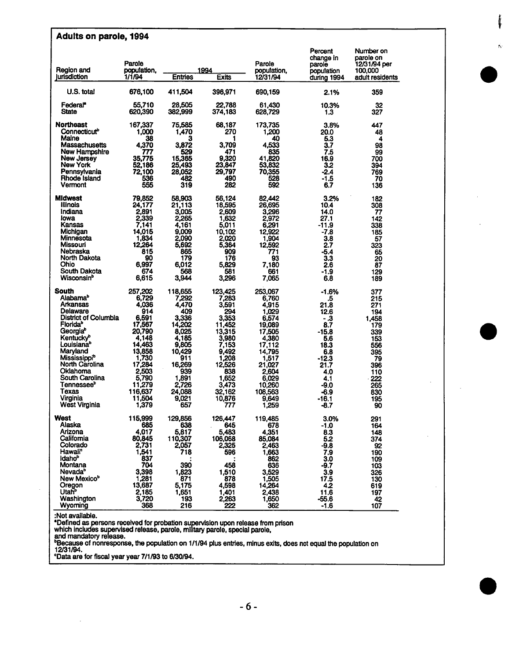| <b>Adults on parole, 1994</b>                                                                                                                                                                                                                                                                                                                          |                                                                                                                                                                         |                                                                                                                                                              |                                                                                                                                                                 |                                                                                                                                                                          |                                                                                                                                               |                                                                                                                            |  |
|--------------------------------------------------------------------------------------------------------------------------------------------------------------------------------------------------------------------------------------------------------------------------------------------------------------------------------------------------------|-------------------------------------------------------------------------------------------------------------------------------------------------------------------------|--------------------------------------------------------------------------------------------------------------------------------------------------------------|-----------------------------------------------------------------------------------------------------------------------------------------------------------------|--------------------------------------------------------------------------------------------------------------------------------------------------------------------------|-----------------------------------------------------------------------------------------------------------------------------------------------|----------------------------------------------------------------------------------------------------------------------------|--|
| Region and<br><b>Jurisdiction</b>                                                                                                                                                                                                                                                                                                                      | Parole<br>population.<br>1/1/94                                                                                                                                         | <b>Entries</b>                                                                                                                                               | 1994<br>Exits                                                                                                                                                   | Parole<br>population,<br>12/31/94                                                                                                                                        | Percent<br>change in<br>parole<br>population<br>during 1994                                                                                   | Number on<br>parole on<br>12/31/94 per<br>100,000<br>adult residents                                                       |  |
| U.S. total                                                                                                                                                                                                                                                                                                                                             | 676,100                                                                                                                                                                 | 411,504                                                                                                                                                      | 396,971                                                                                                                                                         | 690,159                                                                                                                                                                  | 2.1%                                                                                                                                          | 359                                                                                                                        |  |
| Federal*<br><b>State</b>                                                                                                                                                                                                                                                                                                                               | 55.710<br>620,390                                                                                                                                                       | 28.505<br>382,999                                                                                                                                            | 22.788<br>374,183                                                                                                                                               | 61,430<br>628,729                                                                                                                                                        | 10.3%<br>1.3                                                                                                                                  | 32<br>327                                                                                                                  |  |
| Northeast<br>Connecticut <sup>o</sup><br>Maine<br>Massachusetts<br>New Hampshire<br>New Jersey<br>New York<br>Pennsylvania<br>Rhode Island<br>Vermont                                                                                                                                                                                                  | 167,337<br>1,000<br>38<br>4,370<br>777<br>35,775<br>52,186<br>72,100<br>536<br>555                                                                                      | 75.585<br>1,470<br>3<br>3.872<br>529<br>15.365<br>25,493<br>28.052<br>482<br>319                                                                             | 68.187<br>270<br>3.709<br>471<br>9,320<br>23.847<br>29,797<br>490<br>282                                                                                        | 173.735<br>1,200<br>40<br>4,533<br>835<br>41.820<br>53.832<br>70,355<br>528<br>592                                                                                       | 3.8%<br>20.0<br>5.3<br>3.7<br>7.5<br>16.9<br>32<br>-2.4<br>-1.5<br>6.7                                                                        | 447<br>48<br>4<br>98<br>99<br>700<br>394<br>769<br>70<br>136                                                               |  |
| <b>Midwest</b><br><b>Illinois</b><br>Indiana<br>lowa<br>Kansas<br>Michigan<br>Minnesota<br>Missouri<br>Nebraska<br>North Dakota<br>Ohio<br>South Dakota<br>Wisconsin <sup>P</sup>                                                                                                                                                                      | 79,852<br>24.177<br>2,891<br>2,339<br>7,141<br>14,015<br>1,834<br>12,264<br>815<br>90<br>6,997<br>674<br>6,615                                                          | 58,903<br>21.113<br>3,005<br>2.265<br>4,161<br>9,009<br>2.090<br>5,692<br>865<br>179<br>6,012<br>568<br>3,944                                                | 56,124<br>18,595<br>2,609<br>1,632<br>5,011<br>10,102<br>2.020<br>5,364<br>909<br>176<br>5.829<br>581<br>3,296                                                  | 82.442<br>26,695<br>3,296<br>2,972<br>6,291<br>12,922<br>1,904<br>12,592<br>771<br>93<br>7,180<br>661<br>7,065                                                           | 3.2%<br>10.4<br>14.0<br>27.1<br>-11.9<br>$-7.8$<br>3.8<br>2.7<br>-5.4<br>3.3<br>2.6<br>-1.9<br>6.8                                            | 182<br>308<br>77<br>142<br>338<br>185<br>57<br>323<br>65<br>20<br>87<br>129<br>189                                         |  |
| South<br>Alabama <sup>b</sup><br>Arkansas<br>Delaware<br>District of Columbia<br><b>Florida</b> <sup>b</sup><br>Georgia <sup>e</sup><br>Kentucky <sup>B</sup><br>Louisiana <sup>b</sup><br>Maryland<br>Mississippi <sup>b</sup><br>North Carolina<br>Oklahoma<br>South Carolina<br>Tennessee <sup>s</sup><br>Texas<br>Virginia<br><b>West Virginia</b> | 257,202<br>6,729<br>4,036<br>914<br>6.591<br>17,567<br>20,790<br>4.148<br>14,463<br>13,858<br>1,730<br>17,284<br>2,503<br>5,790<br>11,279<br>116,637<br>11,504<br>1,379 | 118,655<br>7.292<br>4,470<br>409<br>3,336<br>14,202<br>8.025<br>4.185<br>9,805<br>10,429<br>911<br>16,269<br>939<br>1.891<br>2,726<br>24.088<br>9.021<br>657 | 123,425<br>7,283<br>3,591<br>294<br>3.353<br>11,452<br>13,315<br>3,980<br>7,153<br>9,492<br>1.208<br>12.526<br>838<br>1,652<br>3,473<br>32.162<br>10.876<br>777 | 253,067<br>6.760<br>4,915<br>1.029<br>6,574<br>19,089<br>17,505<br>4.380<br>17,112<br>14.795<br>1.517<br>21,027<br>2.604<br>6.029<br>10,260<br>108,563<br>9.649<br>1.259 | -1.6%<br>5.<br>21.8<br>12.6<br>- .3<br>8.7<br>$-15.8$<br>5.6<br>18.3<br>6.8<br>$-12.3$<br>21.7<br>4.0<br>4.1<br>-9.0<br>-6.9<br>-16.1<br>-8.7 | 377<br>215<br>271<br>194<br>1,458<br>179<br>339<br>153<br>556<br>395<br>79<br>396<br>110<br>222<br>265<br>830<br>195<br>90 |  |
| West<br>Alaska<br>Arizona<br>California<br>Colorado<br>Hawaii <sup>e</sup><br>Idaho <sup>b</sup><br>Montana<br>Nevada <sup>b</sup><br>New Mexico <sup>b</sup><br>Oregon<br>Utah <sup>b</sup><br>Washington<br>Wyoming                                                                                                                                  | 115,999<br>685<br>4.017<br>80,845<br>2,731<br>1,541<br>837<br>704<br>3,398<br>1,281<br>13,687<br>2,185<br>3,720<br>368                                                  | 129,856<br>638<br>5,817<br>110,307<br>2,057<br>718<br>390<br>1,823<br>871<br>5,175<br>1,651<br>193<br>216                                                    | 126,447<br>645<br>5.483<br>106,068<br>2,325<br>596<br>458<br>1,510<br>878<br>4,598<br>1,401<br>2,263<br>222                                                     | 119,485<br>678<br>4,351<br>85.084<br>2.463<br>1,663<br>862<br>636<br>3,529<br>1,505<br>14,264<br>2,438<br>1,650<br>362                                                   | 3.0%<br>-1.0<br>8.3<br>5.2<br>-9.8<br>7.9<br>3.0<br>-9.7<br>3.9<br>17.5<br>4.2<br>11.6<br>$-55.6$<br>-1.6                                     | 291<br>164<br>148<br>374<br>92<br>190<br>109<br>103<br>326<br>130<br>619<br>197<br>42<br>107                               |  |

Ń

:Not available.

 $\bar{z}$ 

"Defined as persons received for probation supervision upon release from prison

which includes supervised release, parole, military parole, special parole, .and mandatory release.

"Because of nonresponse, the population on 1/1194 plus entries, minus exits, does not equal the population on 12/31/94.

=Data are for fiscal year year 7/1/93 to 6/30/94.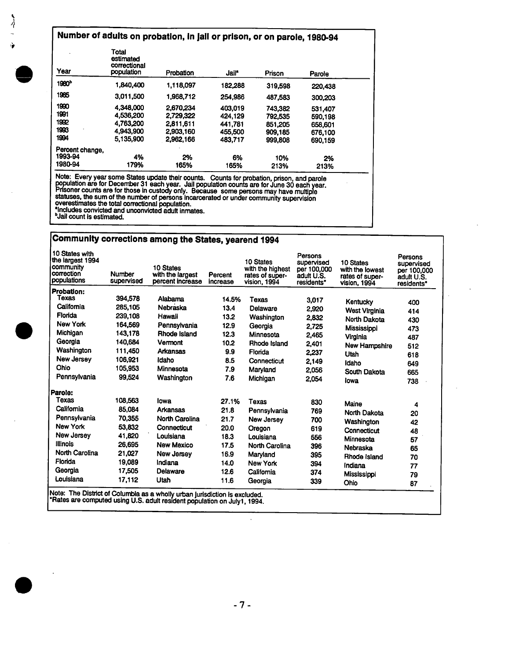# **Number of adults on probation, In Jail or prison, or on** parole, 1980-94

| Year              | Total<br>estimated<br>correctional<br>population | Probation | Jail <sup>*</sup> | Prison  | Parole  |  |
|-------------------|--------------------------------------------------|-----------|-------------------|---------|---------|--|
| 1980 <sup>b</sup> | 1.840.400                                        | 1.118.097 | 182,288           | 319,598 | 220,438 |  |
| 1985              | 3,011,500                                        | 1.968.712 | 254,986           | 487.583 | 300,203 |  |
| 1990              | 4,348,000                                        | 2.670.234 | 403.019           | 743,382 | 531.407 |  |
| 1991              | 4.536,200                                        | 2.729.322 | 424.129           | 792.535 | 590.198 |  |
| 1992              | 4,763,200                                        | 2,811,611 | 441,781           | 851.205 | 658,601 |  |
| 1993              | 4.943.900                                        | 2.903.160 | 455,500           | 909.185 | 676,100 |  |
| 1994              | 5.135.900                                        | 2,962,166 | 483.717           | 999.808 | 690.159 |  |
| Percent change,   |                                                  |           |                   |         |         |  |
| 1993-94           | 4%                                               | 2%        | 6%                | 10%     | 2%      |  |
| 1980-94           | 179%                                             | 165%      | 165%              | 213%    | 213%    |  |

Note: Every year some States update their counts. Counts for probation, prison, and parole<br>population are for December 31 each year. Jail population counts are for June 30 each year.<br>Prisoner counts are for those in custod statuses, the sum of the number of persons incarcerated or under community supervision<br>overestimates the total correctional population.

"Includes convicted and unconvicted adult inmates. bJail count is estimated.

# **Community corrections among** the States, yearend 1994

| 10 States with<br>the largest 1994<br>  community<br>correction<br>populations | Number<br>supervised | 10 States<br>with the largest<br>percent increase                          | Percent<br>increase | 10 States<br>with the highest<br>rates of super-<br>vision, 1994 | Persons<br>supervised<br>per 100,000<br>adult U.S.<br>residents* | <b>10 States</b><br>with the lowest<br>rates of super-<br>vision, 1994 | Persons<br>supervised<br>per 100,000<br>adult U.S.<br>residents* |
|--------------------------------------------------------------------------------|----------------------|----------------------------------------------------------------------------|---------------------|------------------------------------------------------------------|------------------------------------------------------------------|------------------------------------------------------------------------|------------------------------------------------------------------|
| Probation:<br>Texas                                                            | 394,578              | Alabama                                                                    |                     |                                                                  |                                                                  |                                                                        |                                                                  |
| California                                                                     |                      |                                                                            | 14.5%               | Texas                                                            | 3.017                                                            | Kentucky                                                               | 400                                                              |
|                                                                                | 285,105              | Nebraska                                                                   | 13.4                | Delaware                                                         | 2.920                                                            | <b>West Virginia</b>                                                   | 414                                                              |
| Florida                                                                        | 239.108              | Hawaii                                                                     | 13.2                | Washington                                                       | 2,832                                                            | North Dakota                                                           | 430                                                              |
| <b>New York</b>                                                                | 164.569              | Pennsylvania                                                               | 12.9                | Georgia                                                          | 2,725                                                            | Mississippi                                                            | 473                                                              |
| Michigan                                                                       | 143,178              | Rhode Island                                                               | 12.3                | Minnesota                                                        | 2.465                                                            | Virginia                                                               | 487                                                              |
| Georgia                                                                        | 140.684              | Vermont                                                                    | 10.2                | Rhode Island                                                     | 2.401                                                            | <b>New Hampshire</b>                                                   | 512                                                              |
| Washington                                                                     | 111.450              | <b>Arkansas</b>                                                            | 9.9                 | Florida                                                          | 2,237                                                            | Utah                                                                   | 618                                                              |
| New Jersey                                                                     | 106,921              | idaho                                                                      | 8.5                 | Connecticut                                                      | 2.149                                                            | Idaho                                                                  | 649                                                              |
| Ohio                                                                           | 105.953              | Minnesota                                                                  | 7.9                 | Maryland                                                         | 2,056                                                            | South Dakota                                                           | 665                                                              |
| Pennsylvania                                                                   | 99,524               | Washington                                                                 | 7.6                 | Michigan                                                         | 2.054                                                            | lowa                                                                   | 738                                                              |
| Parole:                                                                        |                      |                                                                            |                     |                                                                  |                                                                  |                                                                        |                                                                  |
| Texas                                                                          | 108,563              | lowa                                                                       | 27.1%               | Texas                                                            | 830                                                              | Maine                                                                  | 4                                                                |
| California                                                                     | 85.084               | <b>Arkansas</b>                                                            | 21.8                | Pennsylvania                                                     | 769                                                              | <b>North Dakota</b>                                                    | 20                                                               |
| Pennsylvania                                                                   | 70.355               | <b>North Carolina</b>                                                      | 21.7                | New Jersey                                                       | 700                                                              | Washington                                                             |                                                                  |
| <b>New York</b>                                                                | 53.832               | Connecticut                                                                | 20.0                | Oregon                                                           | 619                                                              | Connecticut                                                            | 42                                                               |
| New Jersey                                                                     | 41,820               | Louisiana                                                                  | 18.3                | Louisiana                                                        | 556                                                              | Minnesota                                                              | 48                                                               |
| <b>Illinois</b>                                                                | 26.695               | <b>New Mexico</b>                                                          | 17.5                | <b>North Carolina</b>                                            | 396                                                              |                                                                        | 57                                                               |
| <b>North Carolina</b>                                                          | 21.027               | New Jersey                                                                 | 16.9                | Maryland                                                         | 395                                                              | Nebraska                                                               | 65                                                               |
| Florida                                                                        | 19,089               | Indiana                                                                    | 14.0                | New York                                                         | 394                                                              | Rhode Island                                                           | 70                                                               |
| Georgia                                                                        | 17,505               | Delaware                                                                   | 12.6                | California                                                       | 374                                                              | Indiana                                                                | 77                                                               |
| Louisiana                                                                      | 17,112               | Utah                                                                       | 11.6                |                                                                  |                                                                  | Mississippi                                                            | 79                                                               |
|                                                                                |                      |                                                                            |                     | Georgia                                                          | 339                                                              | Ohio                                                                   | 87                                                               |
|                                                                                |                      | Note: The District of Columbia as a wholly urban lurisdiction is excluded. |                     |                                                                  |                                                                  |                                                                        |                                                                  |

Note: The District of Columbia as a wholly urban Jurisdiction is excluded. \*Rates are computed using U.S. adult resident population on Julyt, 1994.